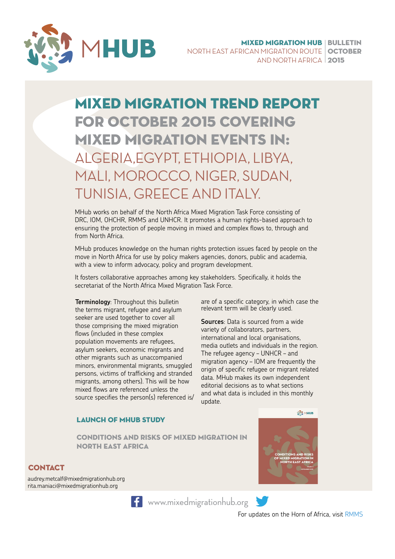

### Mixed migration trend report for october 2015 covering mixed migration events in: ALGERIA,EGYPT, ETHIOPIA, LIBYA, MALI, MOROCCO, NIGER, SUDAN, TUNISIA, GREECE AND ITALY.

MHub works on behalf of the North Africa Mixed Migration Task Force consisting of DRC, IOM, OHCHR, RMMS and UNHCR. It promotes a human rights-based approach to ensuring the protection of people moving in mixed and complex flows to, through and from North Africa.

MHub produces knowledge on the human rights protection issues faced by people on the move in North Africa for use by policy makers agencies, donors, public and academia, with a view to inform advocacy, policy and program development.

It fosters collaborative approaches among key stakeholders. Specifically, it holds the secretariat of the North Africa Mixed Migration Task Force.

**Terminology**: Throughout this bulletin the terms migrant, refugee and asylum seeker are used together to cover all those comprising the mixed migration flows (included in these complex population movements are refugees, asylum seekers, economic migrants and other migrants such as unaccompanied minors, environmental migrants, smuggled persons, victims of trafficking and stranded migrants, among others). This will be how mixed flows are referenced unless the source specifies the person(s) referenced is/

are of a specific category, in which case the relevant term will be clearly used.

**Sources**: Data is sourced from a wide variety of collaborators, partners, international and local organisations, media outlets and individuals in the region. The refugee agency – UNHCR – and migration agency – IOM are frequently the origin of specific refugee or migrant related data. MHub makes its own independent editorial decisions as to what sections and what data is included in this monthly update.

**WAS MHUB** 

#### LAUNCH OF MHUB STUDY

CONDITIONS AND RISKS OF MIXED MIGRATION IN NORTH EAST AFRICA

#### **CONTACT**

audrey.metcalf@mixedmigrationhub.org rita.maniaci@mixedmigrationhub.org



**f** [www.mixedmigrationhub.org](http://www.mixedmigrationhub.org/)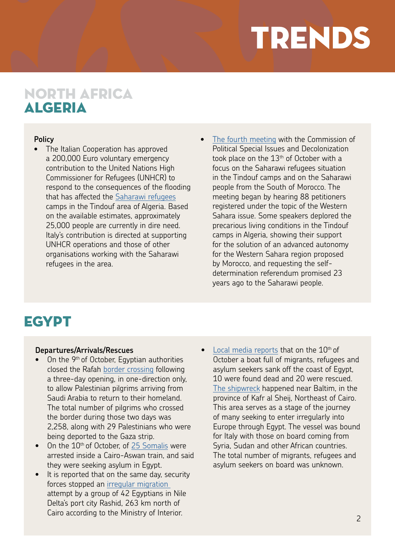# TRENDS

### NORTH AFRICA ALGERIA

#### **Policy**

- The Italian Cooperation has approved a 200,000 Euro voluntary emergency contribution to the United Nations High Commissioner for Refugees (UNHCR) to respond to the consequences of the flooding that has affected the [Saharawi refugee](http://reliefweb.int/report/algeria/emergency-contribution-unhcr-flooding-saharawi-refugee-camps-tindouf-algeria)s camps in the Tindouf area of Algeria. Based on the available estimates, approximately 25,000 people are currently in dire need. Italy's contribution is directed at supporting UNHCR operations and those of other organisations working with the Saharawi refugees in the area.
- [The fourth meeting](http://www.un.org/press/fr/2015/cpsd582.doc.htm) with the Commission of Political Special Issues and Decolonization took place on the  $13<sup>th</sup>$  of October with a focus on the Saharawi refugees situation in the Tindouf camps and on the Saharawi people from the South of Morocco. The meeting began by hearing 88 petitioners registered under the topic of the Western Sahara issue. Some speakers deplored the precarious living conditions in the Tindouf camps in Algeria, showing their support for the solution of an advanced autonomy for the Western Sahara region proposed by Morocco, and requesting the selfdetermination referendum promised 23 years ago to the Saharawi people.

### **EGYPT**

#### **Departures/Arrivals/Rescues**

- On the 9<sup>th</sup> of October, Egyptian authorities closed the Rafah [border crossing](http://english.ahram.org.eg/NewsContent/1/64/152495/Egypt/Politics-/Egypt-closes-Rafah-border-following-return-of-Pale.aspx) following a three-day opening, in one-direction only, to allow Palestinian pilgrims arriving from Saudi Arabia to return to their homeland. The total number of pilgrims who crossed the border during those two days was 2,258, along with 29 Palestinians who were being deported to the Gaza strip.
- $\bullet$  On the  $10<sup>th</sup>$  of October, of [25 Somalis](http://www.thecairopost.com/news/170979/news/egyptian-security-forces-foil-two-illegal-ground-sea-migrations
) were arrested inside a Cairo-Aswan train, and said they were seeking asylum in Egypt.
- It is reported that on the same day, security forces stopped an [irregular migration](http://www.repubblica.it/esteri/2015/10/11/news/egitto_affonda_barcone_diretto_italia_10_morti-124845571/?ref=search)  attempt by a group of 42 Egyptians in Nile Delta's port city Rashid, 263 km north of Cairo according to the Ministry of Interior.
- [Local media reports](http://english.ahram.org.eg/NewsContent/1/64/152648/Egypt/Politics-/Ten-migrants-drowned-near-Egyptian-beach-.aspx) that on the  $10<sup>th</sup>$  of October a boat full of migrants, refugees and asylum seekers sank off the coast of Egypt, 10 were found dead and 20 were rescued. [The shipwreck](http://www.repubblica.it/esteri/2015/10/11/news/egitto_affonda_barcone_diretto_italia_10_morti-124845571/?ref=search) happened near Baltim, in the province of Kafr al Sheij, Northeast of Cairo. This area serves as a stage of the journey of many seeking to enter irregularly into Europe through Egypt. The vessel was bound for Italy with those on board coming from Syria, Sudan and other African countries. The total number of migrants, refugees and asylum seekers on board was unknown.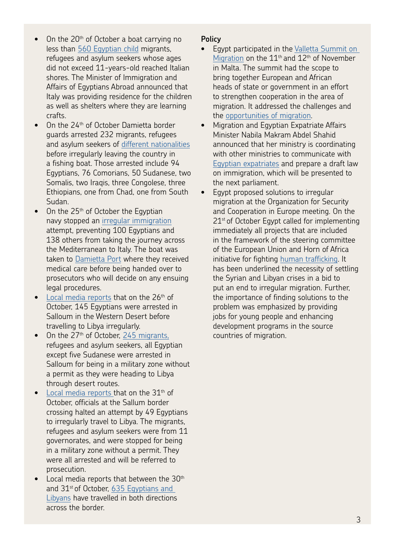- On the  $20<sup>th</sup>$  of October a boat carrying no less than [560 Egyptian child](http://english.ahram.org.eg/NewsContent/1/64/161501/Egypt/Politics-/-Egyptian-child-migrants-reach-Italian-shore-Minis.aspx) migrants, refugees and asylum seekers whose ages did not exceed 11-years-old reached Italian shores. The Minister of Immigration and Affairs of Egyptians Abroad announced that Italy was providing residence for the children as well as shelters where they are learning crafts.
- On the  $24<sup>th</sup>$  of October Damietta border guards arrested 232 migrants, refugees and asylum seekers of [different nationalities](http://thecairopost.youm7.com/news/173377/news/232-people-arrested-in-damietta-over-attempted-illegal-immigration) before irregularly leaving the country in a fishing boat. Those arrested include 94 Egyptians, 76 Comorians, 50 Sudanese, two Somalis, two Iraqis, three Congolese, three Ethiopians, one from Chad, one from South Sudan.
- On the  $25<sup>th</sup>$  of October the Egyptian navy stopped an [irregular immigration](http://thecairopost.youm7.com/news/173577/news/pics-238-arrested-in-fishing-boat-en-route-to-italy-amid-bad-weather) attempt, preventing 100 Egyptians and 138 others from taking the journey across the Mediterranean to Italy. The boat was taken to [Damietta Port](http://en.aswatmasriya.com/news/view.aspx?id=aad374f1-5461-4d7f-ba54-7c6c527067ff) where they received medical care before being handed over to prosecutors who will decide on any ensuing legal procedures.
- [Local media reports](http://thecairopost.youm7.com/news/173712/news/145-egyptians-arrested-before-travelling-to-libya-illegally) that on the  $26<sup>th</sup>$  of October, 145 Egyptians were arrested in Salloum in the Western Desert before travelling to Libya irregularly.
- On the  $27<sup>th</sup>$  of October, [245 migrants,](http://thecairopost.youm7.com/news/173712/news/145-egyptians-arrested-before-travelling-to-libya-illegally) refugees and asylum seekers, all Egyptian except five Sudanese were arrested in Salloum for being in a military zone without a permit as they were heading to Libya through desert routes.
- [Local media reports](http://thecairopost.youm7.com/news/174306/news/49-egyptians-arrested-for-illegal-travel-to-libya) that on the  $31<sup>th</sup>$  of October, officials at the Sallum border crossing halted an attempt by 49 Egyptians to irregularly travel to Libya. The migrants, refugees and asylum seekers were from 11 governorates, and were stopped for being in a military zone without a permit. They were all arrested and will be referred to prosecution.
- $\bullet$  Local media reports that between the 30<sup>th</sup> and 31<sup>st</sup> of October, 635 Egyptians and [Libyans](http://thecairopost.youm7.com/news/174306/news/49-egyptians-arrested-for-illegal-travel-to-libya) have travelled in both directions across the border.

#### **Policy**

- Egypt participated in the [Valletta Summit on](http://ara.reuters.com/article/worldNews/idARACAE9B2FW120131111)  [Migration](http://ara.reuters.com/article/worldNews/idARACAE9B2FW120131111) on the  $11<sup>th</sup>$  and  $12<sup>th</sup>$  of November in Malta. The summit had the scope to bring together European and African heads of state or government in an effort to strengthen cooperation in the area of migration. It addressed the challenges and the [opportunities of migration.](http://akhbarelyom.com/article/5640b4cc79f23c8e4d6ec88e/%D9%85%D8%B5%D8%B1-%D8%AA%D8%B4%D8%A7%D8%B1%D9%83-%D9%81%D9%8A-%D9%82%D9%85%D8%A9-%D9%81%D8%A7%D9%84%D9%8A%D8%AA%D8%A7-%D9%84%D9%84%D9%87%D8%AC%D8%B1%D8%A9-%D8%A8%D9%85%D8%A7%D9%84%D8%B7%D8%A7-%D8%A7%D9%84%D8%A3%D8%B1%D8%A8%D8%B9%D8%A7%D8%A1-1447081154)
- Migration and Egyptian Expatriate Affairs Minister Nabila Makram Abdel Shahid announced that her ministry is coordinating with other ministries to communicate with [Egyptian expatriates](http://www.egyptindependent.com/news/immigration-ministry-prepares-migration-bill-minister) and prepare a draft law on immigration, which will be presented to the next parliament.
- Egypt proposed solutions to irregular migration at the Organization for Security and Cooperation in Europe meeting. On the  $21<sup>st</sup>$  of October Egypt called for implementing immediately all projects that are included in the framework of the steering committee of the European Union and Horn of Africa initiative for fighting [human trafficking](http://www.albawabhnews.com/1562160). It has been underlined the necessity of settling the Syrian and Libyan crises in a bid to put an end to irregular migration. Further, the importance of finding solutions to the problem was emphasized by providing jobs for young people and enhancing development programs in the source countries of migration.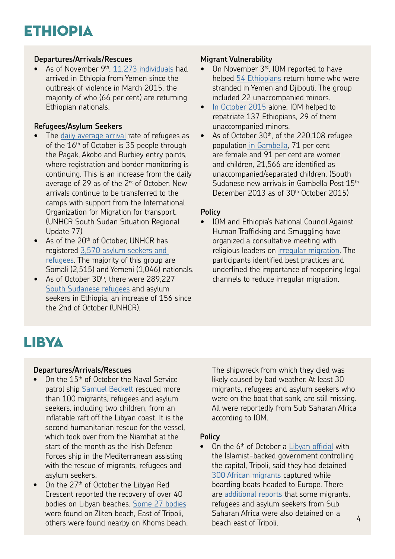#### **Departures/Arrivals/Rescues**

As of November 9<sup>th</sup>, [11,273 individuals](http://www.regionalmms.org/fileadmin/content/monthly%20summaries/RMMS_Monthly_Summary_October_2015.pdf) had arrived in Ethiopia from Yemen since the outbreak of violence in March 2015, the majority of who (66 per cent) are returning Ethiopian nationals.

#### **Refugees/Asylum Seekers**

- The [daily average arrival](http://data.unhcr.org/SouthSudan/country.php?id=65 ) rate of refugees as of the 16<sup>th</sup> of October is 35 people through the Pagak, Akobo and Burbiey entry points, where registration and border monitoring is continuing. This is an increase from the daily average of 29 as of the  $2^{nd}$  of October. New arrivals continue to be transferred to the camps with support from the International Organization for Migration for transport. (UNHCR South Sudan Situation Regional Update 77)
- As of the 20<sup>th</sup> of October, UNHCR has registered [3,570 asylum seekers and](http://www.regionalmms.org/fileadmin/content/monthly%20summaries/RMMS_Monthly_Summary_October_2015.pdf)  [refugees](http://www.regionalmms.org/fileadmin/content/monthly%20summaries/RMMS_Monthly_Summary_October_2015.pdf). The majority of this group are Somali (2,515) and Yemeni (1,046) nationals.
- As of October 30<sup>th</sup>, there were 289,227 [South Sudanese refugees](http://data.unhcr.org/SouthSudan/country.php?id=65 ) and asylum seekers in Ethiopia, an increase of 156 since the 2nd of October (UNHCR).

#### **Migrant Vulnerability**

- On November 3<sup>rd</sup>, IOM reported to have helped [54 Ethiopians](https://www.iom.int/news/iom-helps-ethiopians-return-home-yemen-djibouti) return home who were stranded in Yemen and Djibouti. The group included 22 unaccompanied minors.
- [In October 2015](https://www.iom.int/news/iom-helps-ethiopians-return-home-yemen-djibouti) alone, IOM helped to repatriate 137 Ethiopians, 29 of them unaccompanied minors.
- As of October 30<sup>th</sup>, of the 220,108 refugee populatio[n in Gambella,](http://data.unhcr.org/SouthSudan/country.php?id=65 ) 71 per cent are female and 91 per cent are women and children, 21,566 are identified as unaccompanied/separated children. (South Sudanese new arrivals in Gambella Post 15<sup>th</sup> December 2013 as of 30<sup>th</sup> October 2015)

#### **Policy**

• IOM and Ethiopia's National Council Against Human Trafficking and Smuggling have organized a consultative meeting with religious leaders on [irregular migration.](www.iom.int/news/ethiopian-religious-leaders-address-irregular-migration) The participants identified best practices and underlined the importance of reopening legal channels to reduce irregular migration.

### LIBYA

#### **Departures/Arrivals/Rescues**

- On the 15<sup>th</sup> of October the Naval Service patrol ship [Samuel Beckett](http://www.irishtimes.com/news/social-affairs/irish-naval-ship-l%C3%A9-samuel-beckett-rescues-100-off-libya-1.2392904) rescued more than 100 migrants, refugees and asylum seekers, including two children, from an inflatable raft off the Libyan coast. It is the second humanitarian rescue for the vessel which took over from the Niamhat at the start of the month as the Irish Defence Forces ship in the Mediterranean assisting with the rescue of migrants, refugees and asylum seekers.
- On the 27<sup>th</sup> of October the Libyan Red Crescent reported the recovery of over 40 bodies on Libyan beaches. [Some 27 bodies](http://www.iom.int/news/mediterranean-update-shipwrecks-libya-greece) were found on Zliten beach, East of Tripoli, others were found nearby on Khoms beach.

The shipwreck from which they died was likely caused by bad weather. At least 30 migrants, refugees and asylum seekers who were on the boat that sank, are still missing. All were reportedly from Sub Saharan Africa according to IOM.

#### **Policy**

On the 6<sup>th</sup> of October a [Libyan official](http://news.yahoo.com/libyan-authorities-detain-300-african-migrants-112046828.html
) with the Islamist-backed government controlling the capital, Tripoli, said they had detained [300 African migrants](http://news.yahoo.com/libyan-authorities-detain-300-african-migrants-112046828.html
) captured while boarding boats headed to Europe. There are [additional reports](http://www.businessinsider.com/ap-libyan-authorities-detain-300-african-migrants-2015-10) that some migrants, refugees and asylum seekers from Sub Saharan Africa were also detained on a beach east of Tripoli.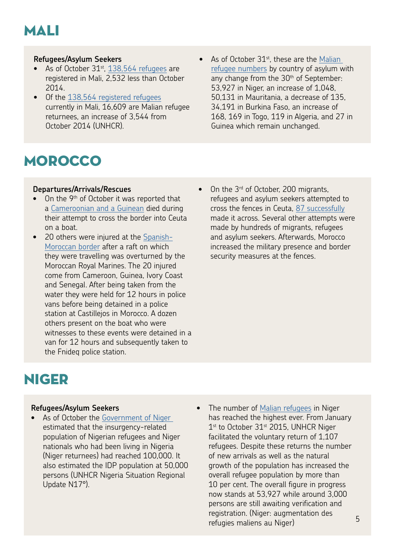

#### **Refugees/Asylum Seekers**

- As of October 31<sup>st</sup>, [138,564 refugees](http://data.unhcr.org/SahelSituation/country.php?id=501
) are registered in Mali, 2,532 less than October 2014.
- Of the [138,564 registered refugees](http://data.unhcr.org/SahelSituation/country.php?id=501
) currently in Mali, 16,609 are Malian refugee returnees, an increase of 3,544 from October 2014 (UNHCR).
- As of October  $31<sup>st</sup>$ , these are the Malian [refugee numbers](http://data.unhcr.org/SahelSituation/country.php?id=501
) by country of asylum with any change from the 30<sup>th</sup> of September: 53,927 in Niger, an increase of 1,048, 50,131 in Mauritania, a decrease of 135, 34,191 in Burkina Faso, an increase of 168, 169 in Togo, 119 in Algeria, and 27 in Guinea which remain unchanged.

### **MOROCCO**

#### **Departures/Arrivals/Rescues**

- On the 9<sup>th</sup> of October it was reported that a [Cameroonian and a Guinean](http://cadenaser.com/ser/2015/10/09/internacional/1444425919_850628.html) died during their attempt to cross the border into Ceuta on a boat.
- 20 others were injured at the [Spanish-](http://www.statewatch.org/news/2015/oct/ceuta-border-two-dead.htm)[Moroccan border](http://www.statewatch.org/news/2015/oct/ceuta-border-two-dead.htm) after a raft on which they were travelling was overturned by the Moroccan Royal Marines. The 20 injured come from Cameroon, Guinea, Ivory Coast and Senegal. After being taken from the water they were held for 12 hours in police vans before being detained in a police station at Castillejos in Morocco. A dozen others present on the boat who were witnesses to these events were detained in a van for 12 hours and subsequently taken to the Fnideq police station.
- On the 3<sup>rd</sup> of October, 200 migrants, refugees and asylum seekers attempted to cross the fences in Ceuta, [87 successfully](https://beatingborders.wordpress.com/2015/10/12/the-eu-spanish-moroccan-cooperation-kills-mass-arrests-deportations-and-two-new-deaths-the-forgotten-dead/) made it across. Several other attempts were made by hundreds of migrants, refugees and asylum seekers. Afterwards, Morocco increased the military presence and border security measures at the fences.

### NIGER

#### **Refugees/Asylum Seekers**

- As of October the Government of Niger estimated that the insurgency-related population of Nigerian refugees and Niger nationals who had been living in Nigeria (Niger returnees) had reached 100,000. It also estimated the IDP population at 50,000 persons (UNHCR Nigeria Situation Regional Update N17°).
- The number of [Malian refugees](http://data.unhcr.org/SahelSituation/documents.php?page=1&view=list) in Niger has reached the highest ever. From January  $1<sup>st</sup>$  to October 31 $<sup>st</sup>$  2015, UNHCR Niger</sup> facilitated the voluntary return of 1,107 refugees. Despite these returns the number of new arrivals as well as the natural growth of the population has increased the overall refugee population by more than 10 per cent. The overall figure in progress now stands at 53,927 while around 3,000 persons are still awaiting verification and registration. (Niger: augmentation des refugies maliens au Niger)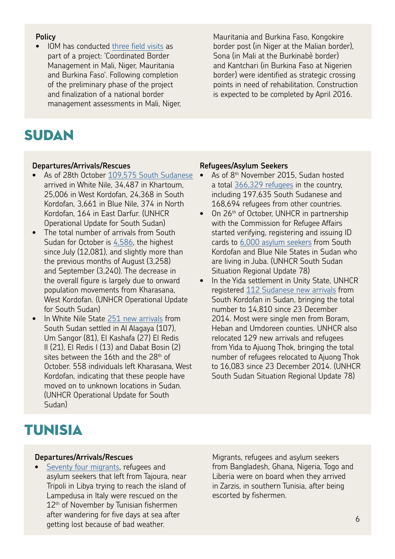#### **Policy**

• IOM has conducted [three field visits](https://www.iom.int/news/niger-mali-and-burkina-faso-seek-coordinate-border-management) as part of a project: 'Coordinated Border Management in Mali, Niger, Mauritania and Burkina Faso'. Following completion of the preliminary phase of the project and finalization of a national border management assessments in Mali, Niger,

SUDAN

#### **Departures/Arrivals/Rescues**

- As of 28th October 109,575 South Sudanese [arrived](http://data.unhcr.org/SouthSudan/regional.php) in White Nile, 34,487 in Khartoum, 25,006 in West Kordofan, 24,368 in South Kordofan, 3,661 in Blue Nile, 374 in North Kordofan, 164 in East Darfur. (UNHCR Operational Update for South Sudan)
- The total number of arrivals from South Sudan for October is [4,586](http://data.unhcr.org/SouthSudan/regional.php), the highest since July (12,081), and slightly more than the previous months of August (3,258) and September (3,240). The decrease in the overall figure is largely due to onward population movements from Kharasana, West Kordofan. (UNHCR Operational Update for South Sudan)
- In White Nile State [251 new arrivals](http://data.unhcr.org/SouthSudan/regional.php) from South Sudan settled in Al Alagaya (107), Um Sangor (81), El Kashafa (27) El Redis II (21), El Redis I (13) and Dabat Bosin (2) sites between the 16th and the 28<sup>th</sup> of October. 558 individuals left Kharasana, West Kordofan, indicating that these people have moved on to unknown locations in Sudan. (UNHCR Operational Update for South Sudan)

#### **Refugees/Asylum Seekers**

- As of 8<sup>th</sup> November 2015, Sudan hosted a total [366,329 refugees](http://www.regionalmms.org/fileadmin/content/monthly%20summaries/RMMS_Monthly_Summary_October_2015.pdf) in the country, including 197,635 South Sudanese and 168,694 refugees from other countries.
- On 26<sup>th</sup> of October, UNHCR in partnership with the Commission for Refugee Affairs started verifying, registering and issuing ID cards to [6,000 asylum seekers](http://reliefweb.int/sites/reliefweb.int/files/resources/ALL_SSD_UPDATE_17-30_OCT_2015.pdf) from South Kordofan and Blue Nile States in Sudan who are living in Juba. (UNHCR South Sudan Situation Regional Update 78)
- In the Yida settlement in Unity State, UNHCR registered [112 Sudanese new arrivals](http://reliefweb.int/sites/reliefweb.int/files/resources/ALL_SSD_UPDATE_17-30_OCT_2015.pdf) from South Kordofan in Sudan, bringing the total number to 14,810 since 23 December 2014. Most were single men from Boram, Heban and Umdoreen counties. UNHCR also relocated 129 new arrivals and refugees from Yida to Ajuong Thok, bringing the total number of refugees relocated to Ajuong Thok to 16,083 since 23 December 2014. (UNHCR South Sudan Situation Regional Update 78)

### TUNISIA

#### **Departures/Arrivals/Rescues**

[Seventy four migrants,](http://diasporaenligne.net/depeche-afp-tunisie-74-migrants-clandestins-secourus-par-des-pecheurs/) refugees and asylum seekers that left from Tajoura, near Tripoli in Libya trying to reach the island of Lampedusa in Italy were rescued on the 12<sup>th</sup> of November by Tunisian fishermen after wandering for five days at sea after getting lost because of bad weather.

Migrants, refugees and asylum seekers from Bangladesh, Ghana, Nigeria, Togo and Liberia were on board when they arrived in Zarzis, in southern Tunisia, after being escorted by fishermen.

Mauritania and Burkina Faso, Kongokire border post (in Niger at the Malian border), Sona (in Mali at the Burkinabè border) and Kantchari (in Burkina Faso at Nigerien border) were identified as strategic crossing points in need of rehabilitation. Construction is expected to be completed by April 2016.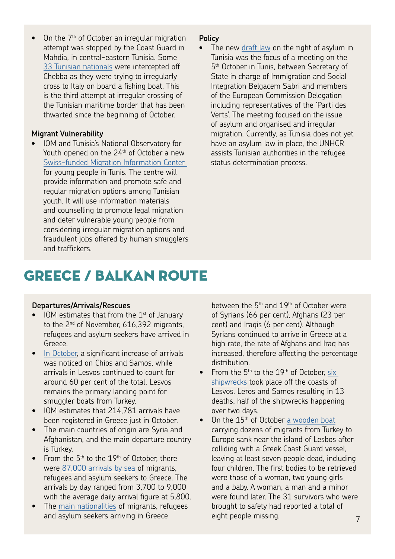On the 7<sup>th</sup> of October an irregular migration attempt was stopped by the Coast Guard in Mahdia, in central-eastern Tunisia. Some [33 Tunisian nationals](http://www.qna.org.qa/en-us/News/15100809150024/Illegal-Migration-Attempt-Thwarted-in-Tunisia) were intercepted off Chebba as they were trying to irregularly cross to Italy on board a fishing boat. This is the third attempt at irregular crossing of the Tunisian maritime border that has been thwarted since the beginning of October.

#### **Migrant Vulnerability**

• IOM and Tunisia's National Observatory for Youth opened on the 24<sup>th</sup> of October a new [Swiss-funded Migration Information Center](http://tunisianewsgazette.com/migration-information-centre-for-young-people-opens-in-tunis/#more-12360)  for young people in Tunis. The centre will provide information and promote safe and regular migration options among Tunisian youth. It will use information materials and counselling to promote legal migration and deter vulnerable young people from considering irregular migration options and fraudulent jobs offered by human smugglers and traffickers.

#### **Policy**

The new [draft law](http://allafrica.com/stories/201510060704.html) on the right of asylum in Tunisia was the focus of a meeting on the 5<sup>th</sup> October in Tunis, between Secretary of State in charge of Immigration and Social Integration Belgacem Sabri and members of the European Commission Delegation including representatives of the 'Parti des Verts'. The meeting focused on the issue of asylum and organised and irregular migration. Currently, as Tunisia does not yet have an asylum law in place, the UNHCR assists Tunisian authorities in the refugee status determination process.

### GREECE / BALKAN ROUTE

#### **Departures/Arrivals/Rescues**

- $\bullet$  IOM estimates that from the 1<sup>st</sup> of January to the 2<sup>nd</sup> of November, 616,392 migrants, refugees and asylum seekers have arrived in Greece.
- [In October,](http://reliefweb.int/sites/reliefweb.int/files/resources/GreeceOperationalUpdate%235Oct-19Oct.pdf) a significant increase of arrivals was noticed on Chios and Samos, while arrivals in Lesvos continued to count for around 60 per cent of the total. Lesvos remains the primary landing point for smuggler boats from Turkey.
- IOM estimates that 214,781 arrivals have been registered in Greece just in October.
- The main countries of origin are Syria and Afghanistan, and the main departure country is Turkey.
- From the  $5<sup>th</sup>$  to the 19<sup>th</sup> of October, there were [87,000 arrivals by sea](http://reliefweb.int/sites/reliefweb.int/files/resources/GreeceOperationalUpdate%235Oct-19Oct.pdf) of migrants, refugees and asylum seekers to Greece. The arrivals by day ranged from 3,700 to 9,000 with the average daily arrival figure at 5,800.
- The [main nationalities](http://reliefweb.int/sites/reliefweb.int/files/resources/GreeceOperationalUpdate%235Oct-19Oct.pdf) of migrants, refugees and asylum seekers arriving in Greece

between the  $5<sup>th</sup>$  and  $19<sup>th</sup>$  of October were of Syrians (66 per cent), Afghans (23 per cent) and Iraqis (6 per cent). Although Syrians continued to arrive in Greece at a high rate, the rate of Afghans and Iraq has increased, therefore affecting the percentage distribution.

- From the  $5<sup>th</sup>$  to the  $19<sup>th</sup>$  of October, six [shipwrecks](http://reliefweb.int/sites/reliefweb.int/files/resources/GreeceOperationalUpdate%235Oct-19Oct.pdf) took place off the coasts of Lesvos, Leros and Samos resulting in 13 deaths, half of the shipwrecks happening over two days.
- On the 15<sup>th</sup> of October [a wooden boat](http://bereamail.co.za/afp/111873/seven-dead-after-greek-coastguard-vessel-hits-migrant-boat) carrying dozens of migrants from Turkey to Europe sank near the island of Lesbos after colliding with a Greek Coast Guard vessel, leaving at least seven people dead, including four children. The first bodies to be retrieved were those of a woman, two young girls and a baby. A woman, a man and a minor were found later. The 31 survivors who were brought to safety had reported a total of eight people missing. The matrix of the state of  $7$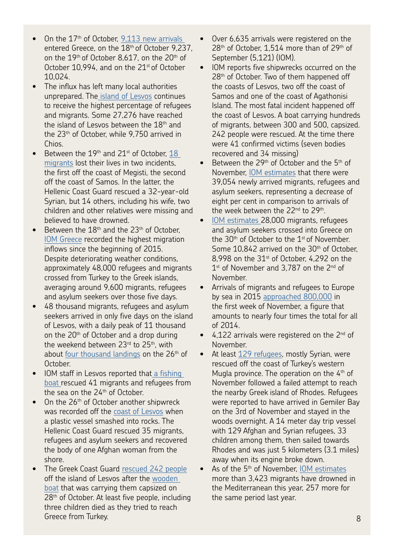- On the 17<sup>th</sup> of October, 9,113 new arrivals entered Greece, on the 18th of October 9,237, on the 19<sup>th</sup> of October 8,617, on the 20<sup>th</sup> of October 10,994, and on the  $21<sup>st</sup>$  of October 10,024.
- The influx has left many local authorities unprepared. The [island of Lesvos](http://edition.cnn.com/2015/10/23/europe/greece-migration-at-2015-high/index.html) continues to receive the highest percentage of refugees and migrants. Some 27,276 have reached the island of Lesvos between the 18<sup>th</sup> and the 23th of October, while 9,750 arrived in Chios.
- Between the  $19<sup>th</sup>$  and  $21<sup>st</sup>$  of October,  $18<sup>st</sup>$ [migrants](https://www.iom.int/news/greece-records-highest-weekly-migration-inflows-2015-so-far) lost their lives in two incidents, the first off the coast of Megisti, the second off the coast of Samos. In the latter, the Hellenic Coast Guard rescued a 32-year-old Syrian, but 14 others, including his wife, two children and other relatives were missing and believed to have drowned.
- Between the  $18<sup>th</sup>$  and the  $23<sup>th</sup>$  of October. [IOM Greece](http://edition.cnn.com/2015/10/23/europe/greece-migration-at-2015-high/index.html) recorded the highest migration inflows since the beginning of 2015. Despite deteriorating weather conditions, approximately 48,000 refugees and migrants crossed from Turkey to the Greek islands, averaging around 9,600 migrants, refugees and asylum seekers over those five days.
- 48 thousand migrants, refugees and asylum seekers arrived in only five days on the island of Lesvos, with a daily peak of 11 thousand on the 20<sup>th</sup> of October and a drop during the weekend between  $23<sup>rd</sup>$  to  $25<sup>th</sup>$ , with about [four thousand landings](http://www.repubblica.it/solidarieta/immigrazione/2015/10/27/news/grecia-126003813/?ref=search) on the 26<sup>th</sup> of October.
- IOM staff in Lesvos reported tha[t a fishing](http://www.iom.int/news/mediterranean-update-shipwrecks-libya-greece)  [boat r](http://www.iom.int/news/mediterranean-update-shipwrecks-libya-greece)escued 41 migrants and refugees from the sea on the 24<sup>th</sup> of October.
- On the 26<sup>th</sup> of October another shipwreck was recorded off the [coast of Lesvos](http://www.iom.int/news/mediterranean-update-shipwrecks-libya-greece) when a plastic vessel smashed into rocks. The Hellenic Coast Guard rescued 35 migrants, refugees and asylum seekers and recovered the body of one Afghan woman from the shore.
- The Greek Coast Guard [rescued 242 people](http://www.theguardian.com/world/2015/oct/28/greek-coast-guard-rescues-242-people-after-wooden-boat-capsizes) off the island of Lesvos after the [wooden](http://www.ibtimes.co.uk/migrant-crisis-greek-coastguard-rescues-242-people-after-boat-sinks-1526184)  [boat](http://www.ibtimes.co.uk/migrant-crisis-greek-coastguard-rescues-242-people-after-boat-sinks-1526184) that was carrying them capsized on 28<sup>th</sup> of October. At least five people, including three children died as they tried to reach Greece from Turkey.
- Over 6,635 arrivals were registered on the 28<sup>th</sup> of October, 1,514 more than of 29<sup>th</sup> of September (5,121) (IOM).
- IOM reports five shipwrecks occurred on the 28<sup>th</sup> of October. Two of them happened off the coasts of Lesvos, two off the coast of Samos and one of the coast of Agathonisi Island. The most fatal incident happened off the coast of Lesvos. A boat carrying hundreds of migrants, between 300 and 500, capsized. 242 people were rescued. At the time there were 41 confirmed victims (seven bodies recovered and 34 missing)
- Between the 29<sup>th</sup> of October and the 5<sup>th</sup> of November, [IOM estimates](http://migration.iom.int/europe/) that there were 39,054 newly arrived migrants, refugees and asylum seekers, representing a decrease of eight per cent in comparison to arrivals of the week between the 22<sup>nd</sup> to 29<sup>th</sup>.
- [IOM estimates](http://www.iom.int/news/migrants-continue-flow-greece-balkans) 28,000 migrants, refugees and asylum seekers crossed into Greece on the  $30<sup>th</sup>$  of October to the  $1<sup>st</sup>$  of November. Some 10,842 arrived on the 30<sup>th</sup> of October, 8,998 on the  $31<sup>st</sup>$  of October, 4,292 on the 1<sup>st</sup> of November and 3.787 on the 2<sup>nd</sup> of November.
- Arrivals of migrants and refugees to Europe by sea in 2015 [approached 800,000](http://www.iom.int/news/migrants-continue-arrive-europe-asylum-seekers-relocated) in the first week of November, a figure that amounts to nearly four times the total for all of 2014.
- 4.122 arrivals were registered on the 2<sup>nd</sup> of November.
- At least [129 refugees,](http://www.dailysabah.com/nation/2015/11/04/turkish-coast-guard-rescues-129-refugees-in-western-mugla-province) mostly Syrian, were rescued off the coast of Turkey's western Mugla province. The operation on the  $4<sup>th</sup>$  of November followed a failed attempt to reach the nearby Greek island of Rhodes. Refugees were reported to have arrived in Gemiler Bay on the 3rd of November and stayed in the woods overnight. A 14 meter day trip vessel with 129 Afghan and Syrian refugees, 33 children among them, then sailed towards Rhodes and was just 5 kilometers (3.1 miles) away when its engine broke down.
- As of the 5<sup>th</sup> of November, [IOM estimates](http://missingmigrants.iom.int/en/mediterranean) more than 3,423 migrants have drowned in the Mediterranean this year, 257 more for the same period last year.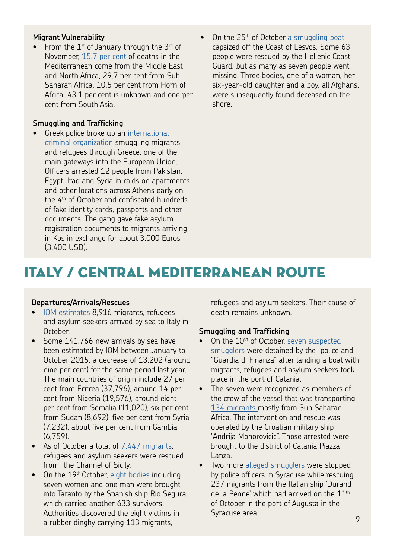#### **Migrant Vulnerability**

• From the  $1^{st}$  of January through the  $3^{rd}$  of November, [15.7 per cent](http://missingmigrants.iom.int/en/mediterranean) of deaths in the Mediterranean come from the Middle East and North Africa, 29.7 per cent from Sub Saharan Africa, 10.5 per cent from Horn of Africa, 43.1 per cent is unknown and one per cent from South Asia.

#### **Smuggling and Trafficking**

- Greek police broke up an [international](http://www.egyptindependent.com/news/greek-police-arrest-12-migrant-smugglers-egypt-syria-iraq-and-pakistan)  [criminal organization](http://www.egyptindependent.com/news/greek-police-arrest-12-migrant-smugglers-egypt-syria-iraq-and-pakistan) smuggling migrants and refugees through Greece, one of the main gateways into the European Union. Officers arrested 12 people from Pakistan, Egypt, Iraq and Syria in raids on apartments and other locations across Athens early on the 4<sup>th</sup> of October and confiscated hundreds of fake identity cards, passports and other documents. The gang gave fake asylum registration documents to migrants arriving in Kos in exchange for about 3,000 Euros (3,400 USD).
- On the 25<sup>th</sup> of October a smuggling boat capsized off the Coast of Lesvos. Some 63 people were rescued by the Hellenic Coast Guard, but as many as seven people went missing. Three bodies, one of a woman, her six-year-old daughter and a boy, all Afghans, were subsequently found deceased on the shore.

### ITALY / CENTRAL MEDITERRANEAN ROUTE

#### **Departures/Arrivals/Rescues**

- [IOM estimates](http://data.unhcr.org/mediterranean/country.php?id=105) 8,916 migrants, refugees and asylum seekers arrived by sea to Italy in October.
- Some 141,766 new arrivals by sea have been estimated by IOM between January to October 2015, a decrease of 13,202 (around nine per cent) for the same period last year. The main countries of origin include 27 per cent from Eritrea (37,796), around 14 per cent from Nigeria (19,576), around eight per cent from Somalia (11,020), six per cent from Sudan (8,692), five per cent from Syria (7,232), about five per cent from Gambia (6,759).
- As of October a total of [7,447 migrants,](https://www.iom.int/news/greece-records-highest-weekly-migration-inflows-2015-so-far) refugees and asylum seekers were rescued from the Channel of Sicily.
- On the 19<sup>th</sup> October, [eight bodies](https://www.iom.int/news/greece-records-highest-weekly-migration-inflows-2015-so-far) including seven women and one man were brought into Taranto by the Spanish ship Rio Segura, which carried another 633 survivors. Authorities discovered the eight victims in a rubber dinghy carrying 113 migrants,

refugees and asylum seekers. Their cause of death remains unknown.

#### **Smuggling and Trafficking**

- On the 10<sup>th</sup> of October, seven suspected [smugglers](http://palermo.repubblica.it/cronaca/2015/10/12/news/sbarchi_a_catania_e_augusta_fermati_nove_scafisti-124890882/?ref=search) were detained by the police and "Guardia di Finanza" after landing a boat with migrants, refugees and asylum seekers took place in the port of Catania.
- The seven were recognized as members of the crew of the vessel that was transporting [134 migrants m](http://palermo.repubblica.it/cronaca/2015/10/12/news/sbarchi_a_catania_e_augusta_fermati_nove_scafisti-124890882/?ref=search)ostly from Sub Saharan Africa. The intervention and rescue was operated by the Croatian military ship "Andrija Mohorovicic". Those arrested were brought to the district of Catania Piazza Lanza.
- Two more [alleged smugglers](http://palermo.repubblica.it/cronaca/2015/10/12/news/sbarchi_a_catania_e_augusta_fermati_nove_scafisti-124890882/?ref=search) were stopped by police officers in Syracuse while rescuing 237 migrants from the Italian ship 'Durand de la Penne' which had arrived on the  $11<sup>th</sup>$ of October in the port of Augusta in the Syracuse area.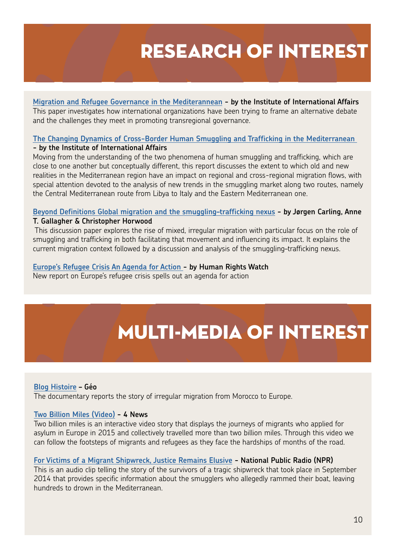## RESEARCH OF INTEREST

**[Migration and Refugee Governance in the Mediterannean -](http://www.iai.it/sites/default/files/iaiwp1542.pdf) by the Institute of International Affairs** This paper investigates how international organizations have been trying to frame an alternative debate and the challenges they meet in promoting transregional governance.

#### **[The Changing Dynamics of Cross-Border Human Smuggling and Trafficking in the Mediterranean](http://www.iai.it/sites/default/files/newmed_monzini.pdf)  - [by the Institute of International Affairs](http://www.iai.it/sites/default/files/newmed_monzini.pdf)**

Moving from the understanding of the two phenomena of human smuggling and trafficking, which are close to one another but conceptually different, this report discusses the extent to which old and new realities in the Mediterranean region have an impact on regional and cross-regional migration flows, with special attention devoted to the analysis of new trends in the smuggling market along two routes, namely the Central Mediterranean route from Libya to Italy and the Eastern Mediterranean one.

#### **[Beyond Definitions Global migration and the smuggling–trafficking nexus](http://regionalmms.org/fileadmin/content/rmms_publications/RMMS_discussion_paper2-_Beyond_DefinitionsNov_2015.pdf) - by Jørgen Carling, Anne**

#### **T. Gallagher & Christopher Horwood**

 This discussion paper explores the rise of mixed, irregular migration with particular focus on the role of smuggling and trafficking in both facilitating that movement and influencing its impact. It explains the current migration context followed by a discussion and analysis of the smuggling–trafficking nexus.

#### **[Europe's Refugee Crisis An Agenda for Action](https://www.hrw.org/report/2015/11/16/europes-refugee-crisis/agenda-action ) - by Human Rights Watch**

New report on Europe's refugee crisis spells out an agenda for action

# MULTI-MEDIA OF INTEREST

#### **[Blog Histoire](https://pierrickauger.wordpress.com/2015/10/07/un-reportage-sur-les-migrations-clandestines-vers-leurope-depuis-le-maroc/) – Géo**

The documentary reports the story of irregular migration from Morocco to Europe.

#### **[Two Billion Miles \(Video\)](http://twobillionmiles.com/) - 4 News**

Two billion miles is an interactive video story that displays the journeys of migrants who applied for asylum in Europe in 2015 and collectively travelled more than two billion miles. Through this video we can follow the footsteps of migrants and refugees as they face the hardships of months of the road.

#### **[For Victims of a Migrant Shipwreck, Justice Remains Elusive](http://www.npr.org/sections/parallels/2015/11/02/453961042/for-victims-of-a-migrant-shipwreck-justice-remains-elusive ) - National Public Radio (NPR)**

This is an audio clip telling the story of the survivors of a tragic shipwreck that took place in September 2014 that provides specific information about the smugglers who allegedly rammed their boat, leaving hundreds to drown in the Mediterranean.